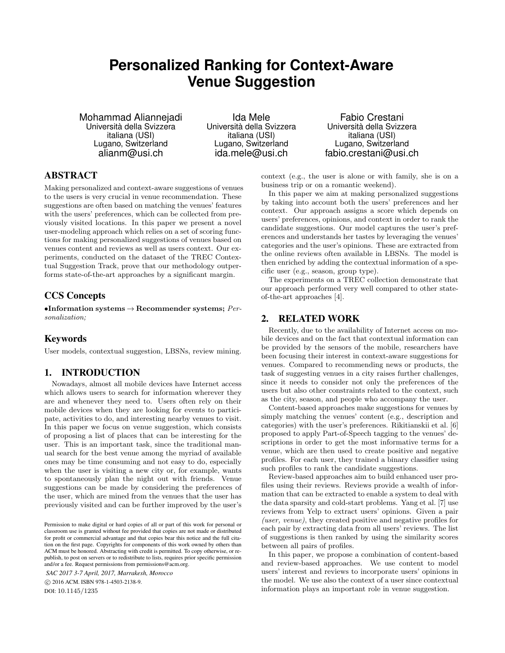# **Personalized Ranking for Context-Aware Venue Suggestion**

Mohammad Aliannejadi Università della Svizzera italiana (USI) Lugano, Switzerland alianm@usi.ch

Ida Mele Università della Svizzera italiana (USI) Lugano, Switzerland ida.mele@usi.ch

Fabio Crestani Università della Svizzera italiana (USI) Lugano, Switzerland fabio.crestani@usi.ch

# ABSTRACT

Making personalized and context-aware suggestions of venues to the users is very crucial in venue recommendation. These suggestions are often based on matching the venues' features with the users' preferences, which can be collected from previously visited locations. In this paper we present a novel user-modeling approach which relies on a set of scoring functions for making personalized suggestions of venues based on venues content and reviews as well as users context. Our experiments, conducted on the dataset of the TREC Contextual Suggestion Track, prove that our methodology outperforms state-of-the-art approaches by a significant margin.

# CCS Concepts

•Information systems  $\rightarrow$  Recommender systems; Personalization;

## Keywords

User models, contextual suggestion, LBSNs, review mining.

# 1. INTRODUCTION

Nowadays, almost all mobile devices have Internet access which allows users to search for information wherever they are and whenever they need to. Users often rely on their mobile devices when they are looking for events to participate, activities to do, and interesting nearby venues to visit. In this paper we focus on venue suggestion, which consists of proposing a list of places that can be interesting for the user. This is an important task, since the traditional manual search for the best venue among the myriad of available ones may be time consuming and not easy to do, especially when the user is visiting a new city or, for example, wants to spontaneously plan the night out with friends. Venue suggestions can be made by considering the preferences of the user, which are mined from the venues that the user has previously visited and can be further improved by the user's

*SAC 2017 3-7 April, 2017, Marrakesh, Morocco* c 2016 ACM. ISBN 978-1-4503-2138-9.

DOI: 10.1145/1235

context (e.g., the user is alone or with family, she is on a business trip or on a romantic weekend).

In this paper we aim at making personalized suggestions by taking into account both the users' preferences and her context. Our approach assigns a score which depends on users' preferences, opinions, and context in order to rank the candidate suggestions. Our model captures the user's preferences and understands her tastes by leveraging the venues' categories and the user's opinions. These are extracted from the online reviews often available in LBSNs. The model is then enriched by adding the contextual information of a specific user (e.g., season, group type).

The experiments on a TREC collection demonstrate that our approach performed very well compared to other stateof-the-art approaches [4].

## 2. RELATED WORK

Recently, due to the availability of Internet access on mobile devices and on the fact that contextual information can be provided by the sensors of the mobile, researchers have been focusing their interest in context-aware suggestions for venues. Compared to recommending news or products, the task of suggesting venues in a city raises further challenges, since it needs to consider not only the preferences of the users but also other constraints related to the context, such as the city, season, and people who accompany the user.

Content-based approaches make suggestions for venues by simply matching the venues' content (e.g., description and categories) with the user's preferences. Rikitianskii et al. [6] proposed to apply Part-of-Speech tagging to the venues' descriptions in order to get the most informative terms for a venue, which are then used to create positive and negative profiles. For each user, they trained a binary classifier using such profiles to rank the candidate suggestions.

Review-based approaches aim to build enhanced user profiles using their reviews. Reviews provide a wealth of information that can be extracted to enable a system to deal with the data sparsity and cold-start problems. Yang et al. [7] use reviews from Yelp to extract users' opinions. Given a pair (user, venue), they created positive and negative profiles for each pair by extracting data from all users' reviews. The list of suggestions is then ranked by using the similarity scores between all pairs of profiles.

In this paper, we propose a combination of content-based and review-based approaches. We use content to model users' interest and reviews to incorporate users' opinions in the model. We use also the context of a user since contextual information plays an important role in venue suggestion.

Permission to make digital or hard copies of all or part of this work for personal or classroom use is granted without fee provided that copies are not made or distributed for profit or commercial advantage and that copies bear this notice and the full citation on the first page. Copyrights for components of this work owned by others than ACM must be honored. Abstracting with credit is permitted. To copy otherwise, or republish, to post on servers or to redistribute to lists, requires prior specific permission and/or a fee. Request permissions from permissions@acm.org.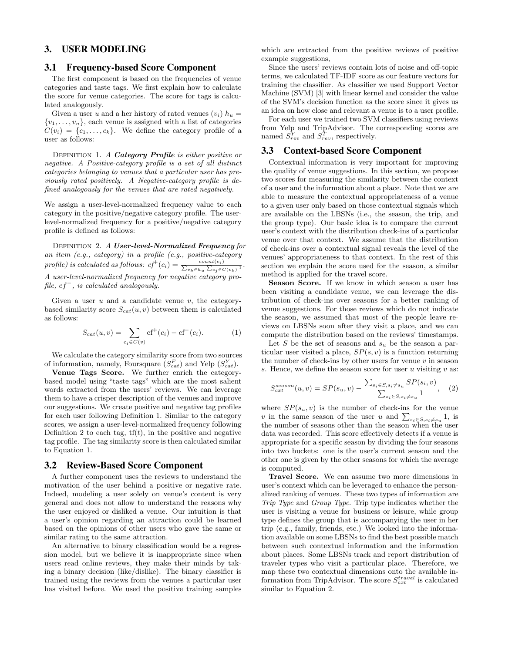## 3. USER MODELING

#### 3.1 Frequency-based Score Component

The first component is based on the frequencies of venue categories and taste tags. We first explain how to calculate the score for venue categories. The score for tags is calculated analogously.

Given a user u and a her history of rated venues  $(v_i)$   $h_u =$  $\{v_1, \ldots, v_n\}$ , each venue is assigned with a list of categories  $C(v_i) = \{c_1, \ldots, c_k\}$ . We define the category profile of a user as follows:

DEFINITION 1. A Category Profile is either positive or negative. A Positive-category profile is a set of all distinct categories belonging to venues that a particular user has previously rated positively. A Negative-category profile is defined analogously for the venues that are rated negatively.

We assign a user-level-normalized frequency value to each category in the positive/negative category profile. The userlevel-normalized frequency for a positive/negative category profile is defined as follows:

DEFINITION 2. A User-level-Normalized Frequency for an item (e.g., category) in a profile (e.g., positive-category profile) is calculated as follows:  $cf^+(c_i) = \frac{count(c_i)}{\sum_{v_k \in h_u} \sum_{c_j \in C(v_k)} 1}$ . A user-level-normalized frequency for negative category profile,  $cf^-$ , is calculated analogously.

Given a user  $u$  and a candidate venue  $v$ , the categorybased similarity score  $S_{cat}(u, v)$  between them is calculated as follows:

$$
S_{cat}(u, v) = \sum_{c_i \in C(v)} cf^+(c_i) - cf^-(c_i). \tag{1}
$$

We calculate the category similarity score from two sources of information, namely, Foursquare  $(S_{cat}^F)$  and Yelp  $(S_{cat}^Y)$ .

Venue Tags Score. We further enrich the categorybased model using "taste tags" which are the most salient words extracted from the users' reviews. We can leverage them to have a crisper description of the venues and improve our suggestions. We create positive and negative tag profiles for each user following Definition 1. Similar to the category scores, we assign a user-level-normalized frequency following Definition 2 to each tag,  $tf(t)$ , in the positive and negative tag profile. The tag similarity score is then calculated similar to Equation 1.

#### 3.2 Review-Based Score Component

A further component uses the reviews to understand the motivation of the user behind a positive or negative rate. Indeed, modeling a user solely on venue's content is very general and does not allow to understand the reasons why the user enjoyed or disliked a venue. Our intuition is that a user's opinion regarding an attraction could be learned based on the opinions of other users who gave the same or similar rating to the same attraction.

An alternative to binary classification would be a regression model, but we believe it is inappropriate since when users read online reviews, they make their minds by taking a binary decision (like/dislike). The binary classifier is trained using the reviews from the venues a particular user has visited before. We used the positive training samples

which are extracted from the positive reviews of positive example suggestions,

Since the users' reviews contain lots of noise and off-topic terms, we calculated TF-IDF score as our feature vectors for training the classifier. As classifier we used Support Vector Machine (SVM) [3] with linear kernel and consider the value of the SVM's decision function as the score since it gives us an idea on how close and relevant a venue is to a user profile.

For each user we trained two SVM classifiers using reviews from Yelp and TripAdvisor. The corresponding scores are named  $S_{rev}^Y$  and  $S_{rev}^T$ , respectively.

#### 3.3 Context-based Score Component

Contextual information is very important for improving the quality of venue suggestions. In this section, we propose two scores for measuring the similarity between the context of a user and the information about a place. Note that we are able to measure the contextual appropriateness of a venue to a given user only based on those contextual signals which are available on the LBSNs (i.e., the season, the trip, and the group type). Our basic idea is to compare the current user's context with the distribution check-ins of a particular venue over that context. We assume that the distribution of check-ins over a contextual signal reveals the level of the venues' appropriateness to that context. In the rest of this section we explain the score used for the season, a similar method is applied for the travel score.

Season Score. If we know in which season a user has been visiting a candidate venue, we can leverage the distribution of check-ins over seasons for a better ranking of venue suggestions. For those reviews which do not indicate the season, we assumed that most of the people leave reviews on LBSNs soon after they visit a place, and we can compute the distribution based on the reviews' timestamps.

Let  $S$  be the set of seasons and  $s_u$  be the season a particular user visited a place,  $SP(s, v)$  is a function returning the number of check-ins by other users for venue  $v$  in season s. Hence, we define the season score for user u visiting  $v$  as:

$$
S_{ext}^{season}(u, v) = SP(s_u, v) - \frac{\sum_{s_i \in S, s_i \neq s_u} SP(s_i, v)}{\sum_{s_i \in S, s_i \neq s_u} 1}, \quad (2)
$$

where  $SP(s_u, v)$  is the number of check-ins for the venue v in the same season of the user u and  $\sum_{s_i \in S, s_i \neq s_u} 1$ , is the number of seasons other than the season when the user data was recorded. This score effectively detects if a venue is appropriate for a specific season by dividing the four seasons into two buckets: one is the user's current season and the other one is given by the other seasons for which the average is computed.

Travel Score. We can assume two more dimensions in user's context which can be leveraged to enhance the personalized ranking of venues. These two types of information are Trip Type and Group Type. Trip type indicates whether the user is visiting a venue for business or leisure, while group type defines the group that is accompanying the user in her trip (e.g., family, friends, etc.) We looked into the information available on some LBSNs to find the best possible match between such contextual information and the information about places. Some LBSNs track and report distribution of traveler types who visit a particular place. Therefore, we map these two contextual dimensions onto the available information from TripAdvisor. The score  $S_{cxt}^{travel}$  is calculated similar to Equation 2.